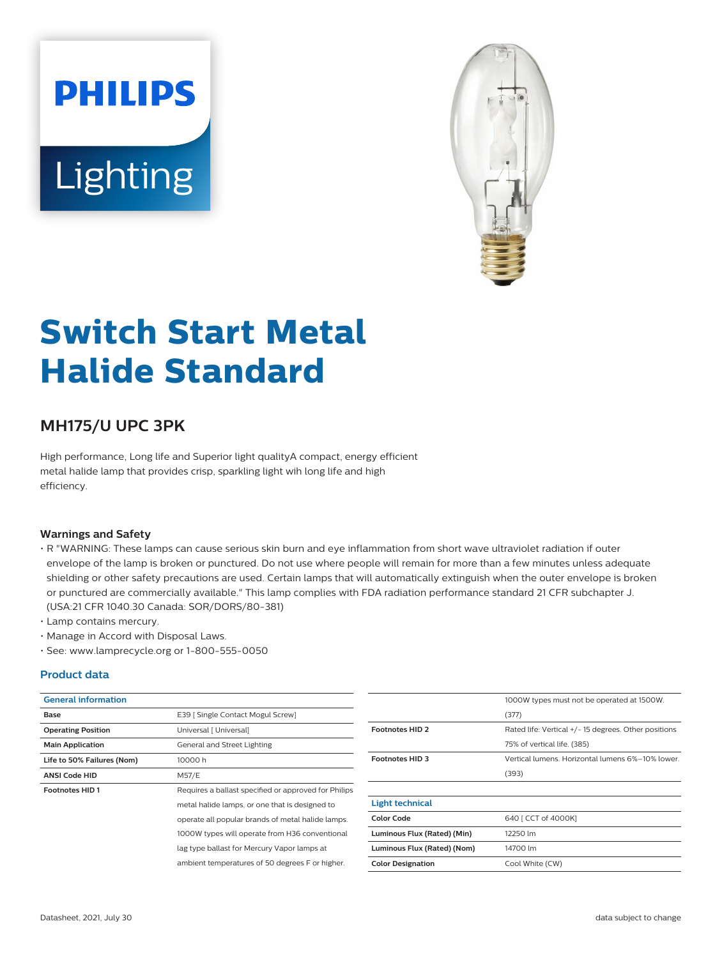# **PHILIPS** Lighting



# **Switch Start Metal Halide Standard**

## **MH175/U UPC 3PK**

High performance, Long life and Superior light qualityA compact, energy efficient metal halide lamp that provides crisp, sparkling light wih long life and high efficiency.

#### **Warnings and Safety**

- R "WARNING: These lamps can cause serious skin burn and eye inflammation from short wave ultraviolet radiation if outer envelope of the lamp is broken or punctured. Do not use where people will remain for more than a few minutes unless adequate shielding or other safety precautions are used. Certain lamps that will automatically extinguish when the outer envelope is broken or punctured are commercially available." This lamp complies with FDA radiation performance standard 21 CFR subchapter J. (USA:21 CFR 1040.30 Canada: SOR/DORS/80-381)
- Lamp contains mercury.
- Manage in Accord with Disposal Laws.
- See: www.lamprecycle.org or 1-800-555-0050

#### **Product data**

| <b>General information</b> |                                                      |                             | 1000W types must not be operated at 1500W.          |
|----------------------------|------------------------------------------------------|-----------------------------|-----------------------------------------------------|
| Base                       | E39   Single Contact Mogul Screw]                    |                             | (377)                                               |
| <b>Operating Position</b>  | Universal [ Universal]                               | <b>Footnotes HID 2</b>      | Rated life: Vertical +/-15 degrees. Other positions |
| <b>Main Application</b>    | General and Street Lighting                          |                             | 75% of vertical life. (385)                         |
| Life to 50% Failures (Nom) | 10000h                                               | <b>Footnotes HID 3</b>      | Vertical lumens. Horizontal lumens 6%-10% lower.    |
| <b>ANSI Code HID</b>       | M57/E                                                |                             | (393)                                               |
| <b>Footnotes HID1</b>      | Requires a ballast specified or approved for Philips |                             |                                                     |
|                            | metal halide lamps, or one that is designed to       | <b>Light technical</b>      |                                                     |
|                            | operate all popular brands of metal halide lamps.    | <b>Color Code</b>           | 640 [ CCT of 4000K]                                 |
|                            | 1000W types will operate from H36 conventional       | Luminous Flux (Rated) (Min) | 12250 lm                                            |
|                            | lag type ballast for Mercury Vapor lamps at          | Luminous Flux (Rated) (Nom) | 14700 lm                                            |
|                            | ambient temperatures of 50 degrees F or higher.      | <b>Color Designation</b>    | Cool White (CW)                                     |
|                            |                                                      |                             |                                                     |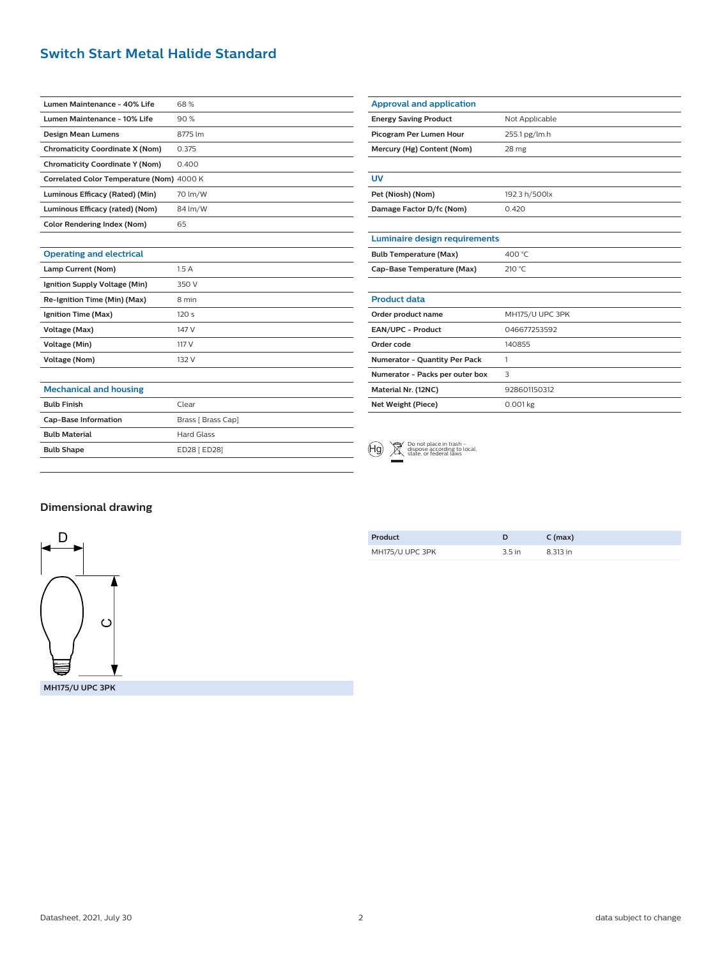### **Switch Start Metal Halide Standard**

| Lumen Maintenance - 40% Life              | 68 %    |
|-------------------------------------------|---------|
| Lumen Maintenance - 10% Life              | 90%     |
| <b>Design Mean Lumens</b>                 | 8775 lm |
| <b>Chromaticity Coordinate X (Nom)</b>    | 0.375   |
| <b>Chromaticity Coordinate Y (Nom)</b>    | 0.400   |
| Correlated Color Temperature (Nom) 4000 K |         |
| Luminous Efficacy (Rated) (Min)           | 70 lm/W |
| Luminous Efficacy (rated) (Nom)           | 84 lm/W |
| Color Rendering Index (Nom)               | 65      |
|                                           |         |

| Mercury (Hg) Content (Nom)           | 28 mg           |
|--------------------------------------|-----------------|
|                                      |                 |
| UV                                   |                 |
| Pet (Niosh) (Nom)                    | 192.3 h/500lx   |
| Damage Factor D/fc (Nom)             | 0.420           |
|                                      |                 |
| Luminaire design requirements        |                 |
| <b>Bulb Temperature (Max)</b>        | 400 °C          |
| Cap-Base Temperature (Max)           | 210 °C          |
|                                      |                 |
| <b>Product data</b>                  |                 |
| Order product name                   | MH175/U UPC 3PK |
| <b>EAN/UPC - Product</b>             | 046677253592    |
| Order code                           | 140855          |
| <b>Numerator - Quantity Per Pack</b> | 1               |
| Numerator - Packs per outer box      | 3               |
| Material Nr. (12NC)                  | 928601150312    |
| Net Weight (Piece)                   | $0.001$ kg      |

#### **Mechanical and housing**

**Operating and electrical**

**Lamp Current (Nom)** 1.5 A **Ignition Supply Voltage (Min)** 350 V **Re-Ignition Time (Min) (Max)** 8 min **Ignition Time (Max)** 120 s **Voltage (Max)** 147 V **Voltage (Min)** 117 V **Voltage (Nom)** 132 V

| <b>Bulb Finish</b>          | Clear              |
|-----------------------------|--------------------|
| <b>Cap-Base Information</b> | Brass [ Brass Cap] |
| <b>Bulb Material</b>        | Hard Glass         |
| <b>Bulb Shape</b>           | ED28 [ ED28]       |
|                             |                    |

| (Hg) | Do not place in trash<br>dispose according to<br>state, or federal laws<br>Do not place in trash -<br>dispose according to local |
|------|----------------------------------------------------------------------------------------------------------------------------------|
|------|----------------------------------------------------------------------------------------------------------------------------------|

**Approval and application**

**Energy Saving Product** Not Applicable **Picogram Per Lumen Hour** 255.1 pg/lm.h

#### **Dimensional drawing**



**Product D C (max)** MH175/U UPC 3PK 3.5 in 8.313 in